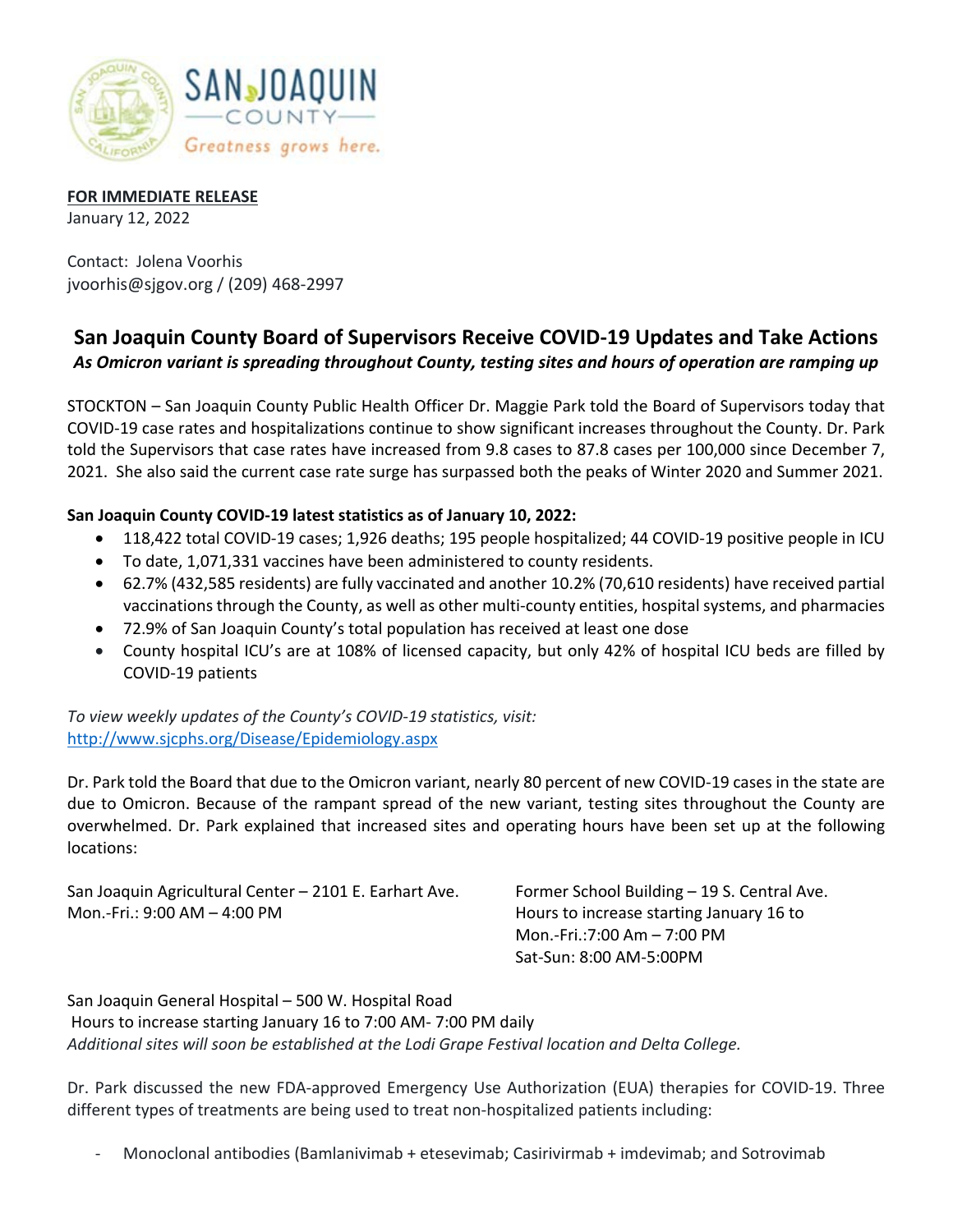

## **FOR IMMEDIATE RELEASE**

January 12, 2022

Contact: Jolena Voorhis jvoorhis@sjgov.org / (209) 468-2997

## **San Joaquin County Board of Supervisors Receive COVID-19 Updates and Take Actions** *As Omicron variant is spreading throughout County, testing sites and hours of operation are ramping up*

STOCKTON – San Joaquin County Public Health Officer Dr. Maggie Park told the Board of Supervisors today that COVID-19 case rates and hospitalizations continue to show significant increases throughout the County. Dr. Park told the Supervisors that case rates have increased from 9.8 cases to 87.8 cases per 100,000 since December 7, 2021. She also said the current case rate surge has surpassed both the peaks of Winter 2020 and Summer 2021.

## **San Joaquin County COVID-19 latest statistics as of January 10, 2022:**

- 118,422 total COVID-19 cases; 1,926 deaths; 195 people hospitalized; 44 COVID-19 positive people in ICU
- To date, 1,071,331 vaccines have been administered to county residents.
- 62.7% (432,585 residents) are fully vaccinated and another 10.2% (70,610 residents) have received partial vaccinations through the County, as well as other multi-county entities, hospital systems, and pharmacies
- 72.9% of San Joaquin County's total population has received at least one dose
- County hospital ICU's are at 108% of licensed capacity, but only 42% of hospital ICU beds are filled by COVID-19 patients

*To view weekly updates of the County's COVID-19 statistics, visit:*  <http://www.sjcphs.org/Disease/Epidemiology.aspx>

Dr. Park told the Board that due to the Omicron variant, nearly 80 percent of new COVID-19 cases in the state are due to Omicron. Because of the rampant spread of the new variant, testing sites throughout the County are overwhelmed. Dr. Park explained that increased sites and operating hours have been set up at the following locations:

San Joaquin Agricultural Center – 2101 E. Earhart Ave. Former School Building – 19 S. Central Ave. Mon.-Fri.: 9:00 AM - 4:00 PM **Hours** Hours to increase starting January 16 to

Mon.-Fri.:7:00 Am – 7:00 PM Sat-Sun: 8:00 AM-5:00PM

San Joaquin General Hospital – 500 W. Hospital Road Hours to increase starting January 16 to 7:00 AM- 7:00 PM daily *Additional sites will soon be established at the Lodi Grape Festival location and Delta College.*

Dr. Park discussed the new FDA-approved Emergency Use Authorization (EUA) therapies for COVID-19. Three different types of treatments are being used to treat non-hospitalized patients including:

Monoclonal antibodies (Bamlanivimab + etesevimab; Casirivirmab + imdevimab; and Sotrovimab